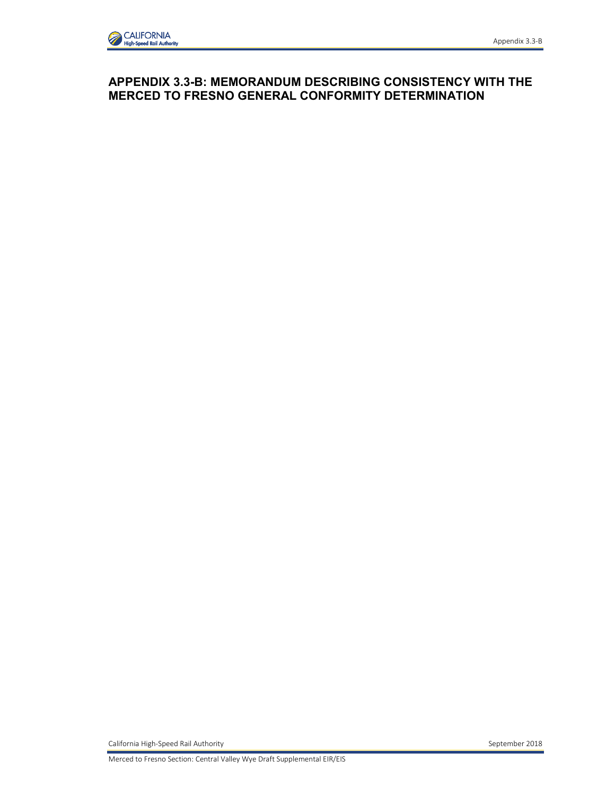# **APPENDIX 3.3-B: MEMORANDUM DESCRIBING CONSISTENCY WITH THE MERCED TO FRESNO GENERAL CONFORMITY DETERMINATION**

California High-Speed Rail Authority September 2018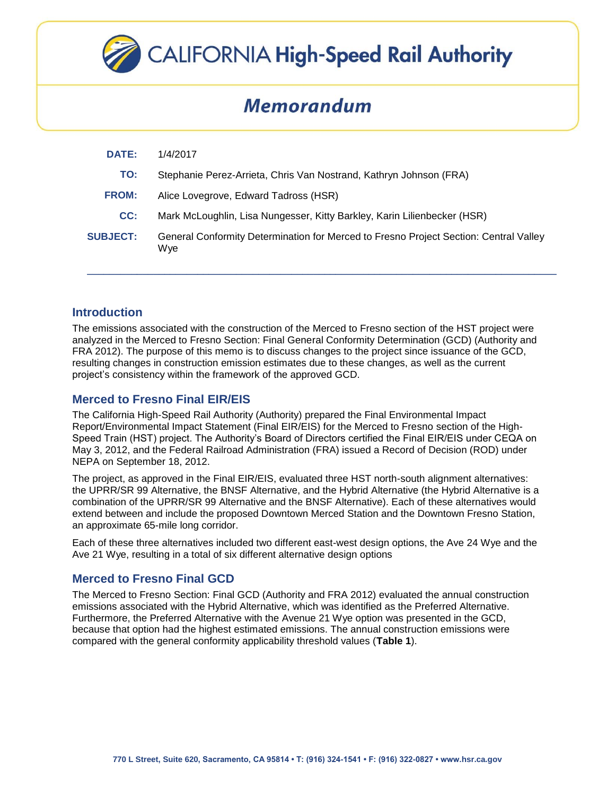

# **CALIFORNIA High-Speed Rail Authority**

# **Memorandum**

| <b>DATE:</b>    | 1/4/2017                                                                                     |
|-----------------|----------------------------------------------------------------------------------------------|
| TO:             | Stephanie Perez-Arrieta, Chris Van Nostrand, Kathryn Johnson (FRA)                           |
| <b>FROM:</b>    | Alice Lovegrove, Edward Tadross (HSR)                                                        |
| CC:             | Mark McLoughlin, Lisa Nungesser, Kitty Barkley, Karin Lilienbecker (HSR)                     |
| <b>SUBJECT:</b> | General Conformity Determination for Merced to Fresno Project Section: Central Valley<br>Wye |
|                 |                                                                                              |

#### **Introduction**

The emissions associated with the construction of the Merced to Fresno section of the HST project were analyzed in the Merced to Fresno Section: Final General Conformity Determination (GCD) (Authority and FRA 2012). The purpose of this memo is to discuss changes to the project since issuance of the GCD, resulting changes in construction emission estimates due to these changes, as well as the current project's consistency within the framework of the approved GCD.

### **Merced to Fresno Final EIR/EIS**

The California High-Speed Rail Authority (Authority) prepared the Final Environmental Impact Report/Environmental Impact Statement (Final EIR/EIS) for the Merced to Fresno section of the High-Speed Train (HST) project. The Authority's Board of Directors certified the Final EIR/EIS under CEQA on May 3, 2012, and the Federal Railroad Administration (FRA) issued a Record of Decision (ROD) under NEPA on September 18, 2012.

The project, as approved in the Final EIR/EIS, evaluated three HST north-south alignment alternatives: the UPRR/SR 99 Alternative, the BNSF Alternative, and the Hybrid Alternative (the Hybrid Alternative is a combination of the UPRR/SR 99 Alternative and the BNSF Alternative). Each of these alternatives would extend between and include the proposed Downtown Merced Station and the Downtown Fresno Station, an approximate 65-mile long corridor.

Each of these three alternatives included two different east-west design options, the Ave 24 Wye and the Ave 21 Wye, resulting in a total of six different alternative design options

# **Merced to Fresno Final GCD**

The Merced to Fresno Section: Final GCD (Authority and FRA 2012) evaluated the annual construction emissions associated with the Hybrid Alternative, which was identified as the Preferred Alternative. Furthermore, the Preferred Alternative with the Avenue 21 Wye option was presented in the GCD, because that option had the highest estimated emissions. The annual construction emissions were compared with the general conformity applicability threshold values (**Table 1**).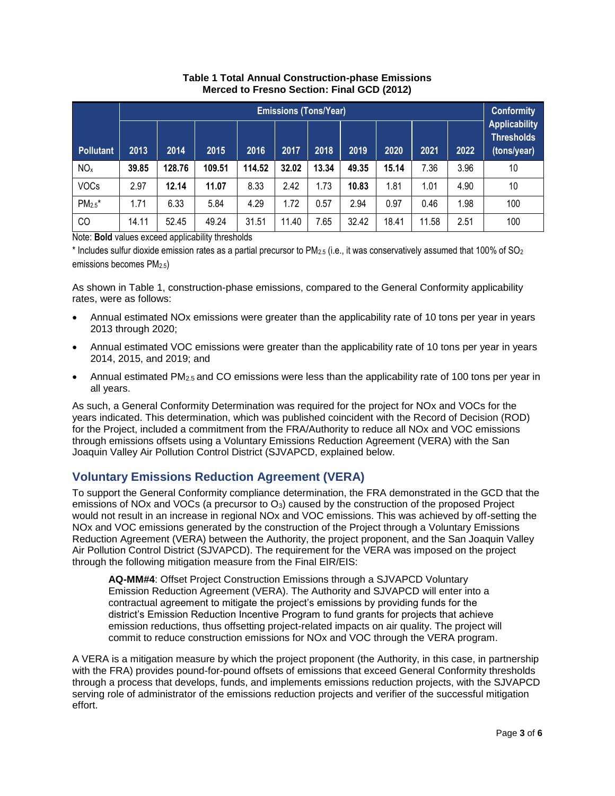|                  | <b>Emissions (Tons/Year)</b> |        |        |        |       |       |       |       |       | <b>Conformity</b> |                                                          |
|------------------|------------------------------|--------|--------|--------|-------|-------|-------|-------|-------|-------------------|----------------------------------------------------------|
| <b>Pollutant</b> | 2013                         | 2014   | 2015   | 2016   | 2017  | 2018  | 2019  | 2020  | 2021  | 2022              | <b>Applicability</b><br><b>Thresholds</b><br>(tons/year) |
| NO <sub>x</sub>  | 39.85                        | 128.76 | 109.51 | 114.52 | 32.02 | 13.34 | 49.35 | 15.14 | 7.36  | 3.96              | 10                                                       |
| <b>VOCs</b>      | 2.97                         | 12.14  | 11.07  | 8.33   | 2.42  | 1.73  | 10.83 | 1.81  | 1.01  | 4.90              | 10                                                       |
| $PM_{2.5}$ *     | 1.71                         | 6.33   | 5.84   | 4.29   | 1.72  | 0.57  | 2.94  | 0.97  | 0.46  | 1.98              | 100                                                      |
| CO               | 14.11                        | 52.45  | 49.24  | 31.51  | 11.40 | 7.65  | 32.42 | 18.41 | 11.58 | 2.51              | 100                                                      |

#### **Table 1 Total Annual Construction-phase Emissions Merced to Fresno Section: Final GCD (2012)**

Note: **Bold** values exceed applicability thresholds

\* Includes sulfur dioxide emission rates as a partial precursor to PM<sub>2.5</sub> (i.e., it was conservatively assumed that 100% of SO<sub>2</sub> emissions becomes PM2.5)

As shown in Table 1, construction-phase emissions, compared to the General Conformity applicability rates, were as follows:

- Annual estimated NOx emissions were greater than the applicability rate of 10 tons per year in years 2013 through 2020;
- Annual estimated VOC emissions were greater than the applicability rate of 10 tons per year in years 2014, 2015, and 2019; and
- Annual estimated PM2.5 and CO emissions were less than the applicability rate of 100 tons per year in all years.

As such, a General Conformity Determination was required for the project for NOx and VOCs for the years indicated. This determination, which was published coincident with the Record of Decision (ROD) for the Project, included a commitment from the FRA/Authority to reduce all NOx and VOC emissions through emissions offsets using a Voluntary Emissions Reduction Agreement (VERA) with the San Joaquin Valley Air Pollution Control District (SJVAPCD, explained below.

# **Voluntary Emissions Reduction Agreement (VERA)**

To support the General Conformity compliance determination, the FRA demonstrated in the GCD that the emissions of NOx and VOCs (a precursor to  $O_3$ ) caused by the construction of the proposed Project would not result in an increase in regional NOx and VOC emissions. This was achieved by off-setting the NOx and VOC emissions generated by the construction of the Project through a Voluntary Emissions Reduction Agreement (VERA) between the Authority, the project proponent, and the San Joaquin Valley Air Pollution Control District (SJVAPCD). The requirement for the VERA was imposed on the project through the following mitigation measure from the Final EIR/EIS:

**AQ-MM#4**: Offset Project Construction Emissions through a SJVAPCD Voluntary Emission Reduction Agreement (VERA). The Authority and SJVAPCD will enter into a contractual agreement to mitigate the project's emissions by providing funds for the district's Emission Reduction Incentive Program to fund grants for projects that achieve emission reductions, thus offsetting project-related impacts on air quality. The project will commit to reduce construction emissions for NOx and VOC through the VERA program.

A VERA is a mitigation measure by which the project proponent (the Authority, in this case, in partnership with the FRA) provides pound-for-pound offsets of emissions that exceed General Conformity thresholds through a process that develops, funds, and implements emissions reduction projects, with the SJVAPCD serving role of administrator of the emissions reduction projects and verifier of the successful mitigation effort.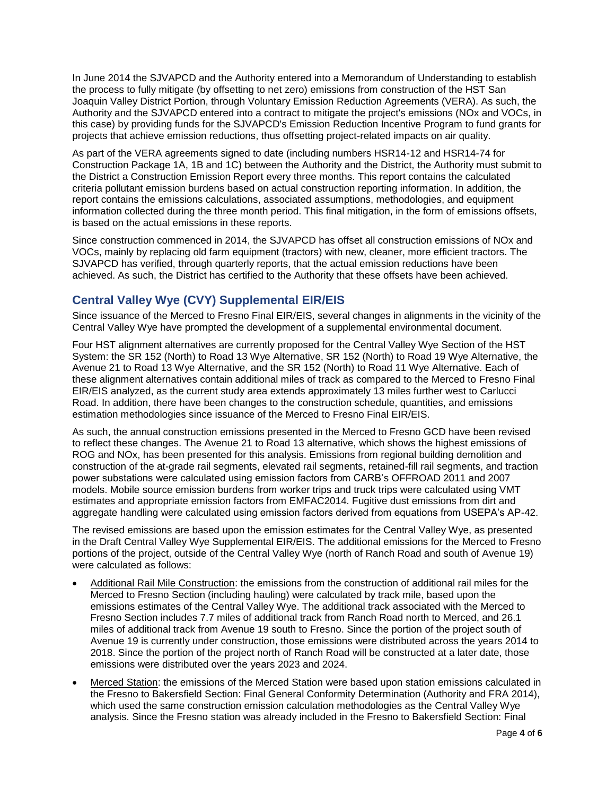In June 2014 the SJVAPCD and the Authority entered into a Memorandum of Understanding to establish the process to fully mitigate (by offsetting to net zero) emissions from construction of the HST San Joaquin Valley District Portion, through Voluntary Emission Reduction Agreements (VERA). As such, the Authority and the SJVAPCD entered into a contract to mitigate the project's emissions (NOx and VOCs, in this case) by providing funds for the SJVAPCD's Emission Reduction Incentive Program to fund grants for projects that achieve emission reductions, thus offsetting project-related impacts on air quality.

As part of the VERA agreements signed to date (including numbers HSR14-12 and HSR14-74 for Construction Package 1A, 1B and 1C) between the Authority and the District, the Authority must submit to the District a Construction Emission Report every three months. This report contains the calculated criteria pollutant emission burdens based on actual construction reporting information. In addition, the report contains the emissions calculations, associated assumptions, methodologies, and equipment information collected during the three month period. This final mitigation, in the form of emissions offsets, is based on the actual emissions in these reports.

Since construction commenced in 2014, the SJVAPCD has offset all construction emissions of NOx and VOCs, mainly by replacing old farm equipment (tractors) with new, cleaner, more efficient tractors. The SJVAPCD has verified, through quarterly reports, that the actual emission reductions have been achieved. As such, the District has certified to the Authority that these offsets have been achieved.

# **Central Valley Wye (CVY) Supplemental EIR/EIS**

Since issuance of the Merced to Fresno Final EIR/EIS, several changes in alignments in the vicinity of the Central Valley Wye have prompted the development of a supplemental environmental document.

Four HST alignment alternatives are currently proposed for the Central Valley Wye Section of the HST System: the SR 152 (North) to Road 13 Wye Alternative, SR 152 (North) to Road 19 Wye Alternative, the Avenue 21 to Road 13 Wye Alternative, and the SR 152 (North) to Road 11 Wye Alternative. Each of these alignment alternatives contain additional miles of track as compared to the Merced to Fresno Final EIR/EIS analyzed, as the current study area extends approximately 13 miles further west to Carlucci Road. In addition, there have been changes to the construction schedule, quantities, and emissions estimation methodologies since issuance of the Merced to Fresno Final EIR/EIS.

As such, the annual construction emissions presented in the Merced to Fresno GCD have been revised to reflect these changes. The Avenue 21 to Road 13 alternative, which shows the highest emissions of ROG and NOx, has been presented for this analysis. Emissions from regional building demolition and construction of the at-grade rail segments, elevated rail segments, retained-fill rail segments, and traction power substations were calculated using emission factors from CARB's OFFROAD 2011 and 2007 models. Mobile source emission burdens from worker trips and truck trips were calculated using VMT estimates and appropriate emission factors from EMFAC2014. Fugitive dust emissions from dirt and aggregate handling were calculated using emission factors derived from equations from USEPA's AP-42.

The revised emissions are based upon the emission estimates for the Central Valley Wye, as presented in the Draft Central Valley Wye Supplemental EIR/EIS. The additional emissions for the Merced to Fresno portions of the project, outside of the Central Valley Wye (north of Ranch Road and south of Avenue 19) were calculated as follows:

- Additional Rail Mile Construction: the emissions from the construction of additional rail miles for the Merced to Fresno Section (including hauling) were calculated by track mile, based upon the emissions estimates of the Central Valley Wye. The additional track associated with the Merced to Fresno Section includes 7.7 miles of additional track from Ranch Road north to Merced, and 26.1 miles of additional track from Avenue 19 south to Fresno. Since the portion of the project south of Avenue 19 is currently under construction, those emissions were distributed across the years 2014 to 2018. Since the portion of the project north of Ranch Road will be constructed at a later date, those emissions were distributed over the years 2023 and 2024.
- Merced Station: the emissions of the Merced Station were based upon station emissions calculated in the Fresno to Bakersfield Section: Final General Conformity Determination (Authority and FRA 2014), which used the same construction emission calculation methodologies as the Central Valley Wye analysis. Since the Fresno station was already included in the Fresno to Bakersfield Section: Final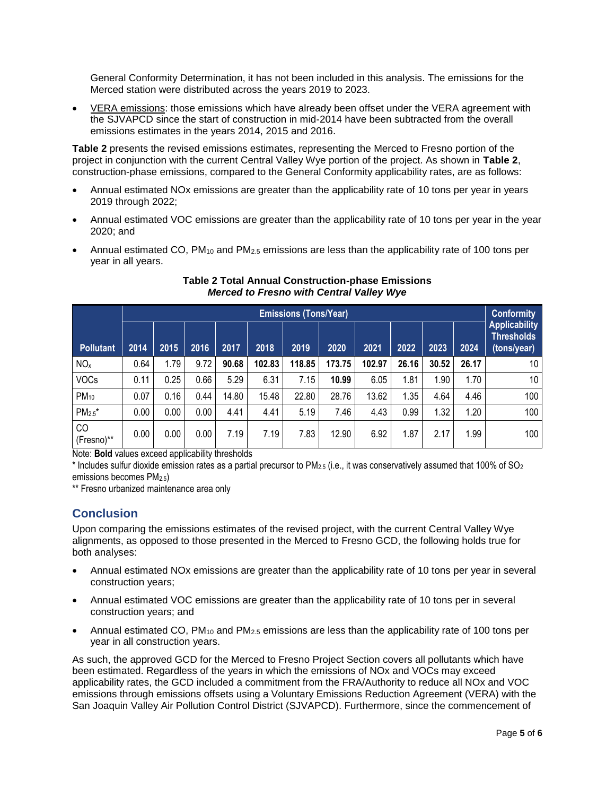General Conformity Determination, it has not been included in this analysis. The emissions for the Merced station were distributed across the years 2019 to 2023.

 VERA emissions: those emissions which have already been offset under the VERA agreement with the SJVAPCD since the start of construction in mid-2014 have been subtracted from the overall emissions estimates in the years 2014, 2015 and 2016.

**Table 2** presents the revised emissions estimates, representing the Merced to Fresno portion of the project in conjunction with the current Central Valley Wye portion of the project. As shown in **Table 2**, construction-phase emissions, compared to the General Conformity applicability rates, are as follows:

- Annual estimated NOx emissions are greater than the applicability rate of 10 tons per year in years 2019 through 2022;
- Annual estimated VOC emissions are greater than the applicability rate of 10 tons per year in the year 2020; and
- Annual estimated CO,  $PM_{10}$  and  $PM_{2.5}$  emissions are less than the applicability rate of 100 tons per year in all years.

|                  | <b>Emissions (Tons/Year)</b> |      |      |       |        |        |        |        |       |       | <b>Conformity</b> |                                                   |
|------------------|------------------------------|------|------|-------|--------|--------|--------|--------|-------|-------|-------------------|---------------------------------------------------|
| <b>Pollutant</b> | 2014                         | 2015 | 2016 | 2017  | 2018   | 2019   | 2020   | 2021   | 2022  | 2023  | 2024              | <b>Applicability</b><br>Thresholds<br>(tons/year) |
| NO <sub>x</sub>  | 0.64                         | 1.79 | 9.72 | 90.68 | 102.83 | 118.85 | 173.75 | 102.97 | 26.16 | 30.52 | 26.17             | 10                                                |
| <b>VOCs</b>      | 0.11                         | 0.25 | 0.66 | 5.29  | 6.31   | 7.15   | 10.99  | 6.05   | 1.81  | 1.90  | 1.70              | 10                                                |
| $PM_{10}$        | 0.07                         | 0.16 | 0.44 | 14.80 | 15.48  | 22.80  | 28.76  | 13.62  | 1.35  | 4.64  | 4.46              | 100                                               |
| $PM_{2.5}$ *     | 0.00                         | 0.00 | 0.00 | 4.41  | 4.41   | 5.19   | 7.46   | 4.43   | 0.99  | 1.32  | 1.20              | 100                                               |
| CO<br>(Fresno)** | 0.00                         | 0.00 | 0.00 | 7.19  | 7.19   | 7.83   | 12.90  | 6.92   | 1.87  | 2.17  | 1.99              | 100                                               |

#### **Table 2 Total Annual Construction-phase Emissions** *Merced to Fresno with Central Valley Wye*

Note: **Bold** values exceed applicability thresholds

\* Includes sulfur dioxide emission rates as a partial precursor to PM<sub>2.5</sub> (i.e., it was conservatively assumed that 100% of SO<sub>2</sub> emissions becomes PM2.5)

\*\* Fresno urbanized maintenance area only

# **Conclusion**

Upon comparing the emissions estimates of the revised project, with the current Central Valley Wye alignments, as opposed to those presented in the Merced to Fresno GCD, the following holds true for both analyses:

- Annual estimated NOx emissions are greater than the applicability rate of 10 tons per year in several construction years;
- Annual estimated VOC emissions are greater than the applicability rate of 10 tons per in several construction years; and
- Annual estimated CO, PM<sub>10</sub> and PM<sub>2.5</sub> emissions are less than the applicability rate of 100 tons per year in all construction years.

As such, the approved GCD for the Merced to Fresno Project Section covers all pollutants which have been estimated. Regardless of the years in which the emissions of NOx and VOCs may exceed applicability rates, the GCD included a commitment from the FRA/Authority to reduce all NOx and VOC emissions through emissions offsets using a Voluntary Emissions Reduction Agreement (VERA) with the San Joaquin Valley Air Pollution Control District (SJVAPCD). Furthermore, since the commencement of